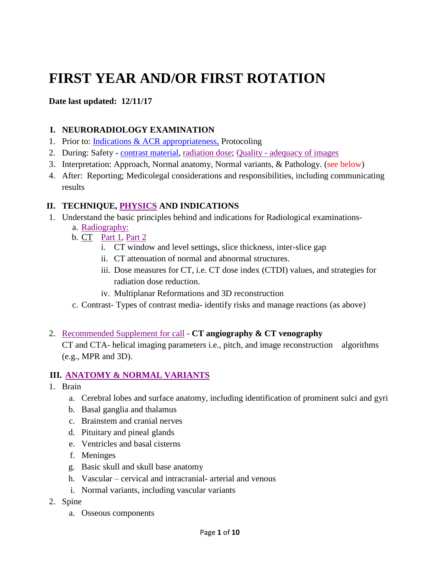# **FIRST YEAR AND/OR FIRST ROTATION**

#### **Date last updated: 12/11/17**

#### **I. NEURORADIOLOGY EXAMINATION**

- 1. Prior to: [Indications & ACR appropriateness,](https://acsearch.acr.org/list) Protocoling
- 2. During: Safety [contrast material,](https://www.dropbox.com/s/gy635jomrqe65rc/Contrast_Media.pdf?dl=0) [radiation dose;](https://www.acr.org/Advocacy-and-Economics/ACR-Position-Statements/CT-Protocols-and-Radiation-Dose) Quality [adequacy of images](https://www.dropbox.com/s/9xtpwncmeuipb1s/CT_QCManual.pdf?dl=0)
- 3. Interpretation: Approach, Normal anatomy, Normal variants, & Pathology. (see below)
- 4. After: Reporting; Medicolegal considerations and responsibilities, including communicating results

#### **II. TECHNIQUE, [PHYSICS](https://www.rsna.org/Physics-Modules/) AND INDICATIONS**

- 1. Understand the basic principles behind and indications for Radiological examinations
	- a. [Radiography:](https://www.dropbox.com/s/trw7y8en6xisyau/3_-_Physics_x-ray_slides.original.1519322613.pdf?dl=0)
	- b. CT [Part 1,](https://www.dropbox.com/s/0en1v3h1k64c61d/4_-_Physics_CT_part_1_slides.original.1519322405.pdf?dl=0) [Part 2](https://www.dropbox.com/s/eq55mr9s2k1lyj6/4_-_Physics_CT_part_2_slides.original.1519322431.pdf?dl=0)
		- i. CT window and level settings, slice thickness, inter-slice gap
		- ii. CT attenuation of normal and abnormal structures.
		- iii. Dose measures for CT, i.e. CT dose index (CTDI) values, and strategies for radiation dose reduction.
		- iv. Multiplanar Reformations and 3D reconstruction
	- c. Contrast- Types of contrast media- identify risks and manage reactions (as above)
- 2. [Recommended Supplement](https://www.dropbox.com/s/imuh1ri9hhv7ue6/CTA%20basics.pdf?dl=0) for call **CT angiography & CT venography**

CT and CTA- helical imaging parameters i.e., pitch, and image reconstruction algorithms (e.g., MPR and 3D).

#### **III. ANATOMY [& NORMAL VARIANTS](http://www.headneckbrainspine.com/)**

- 1. Brain
	- a. Cerebral lobes and surface anatomy, including identification of prominent sulci and gyri
	- b. Basal ganglia and thalamus
	- c. Brainstem and cranial nerves
	- d. Pituitary and pineal glands
	- e. Ventricles and basal cisterns
	- f. Meninges
	- g. Basic skull and skull base anatomy
	- h. Vascular cervical and intracranial- arterial and venous
	- i. Normal variants, including vascular variants
- 2. Spine
	- a. Osseous components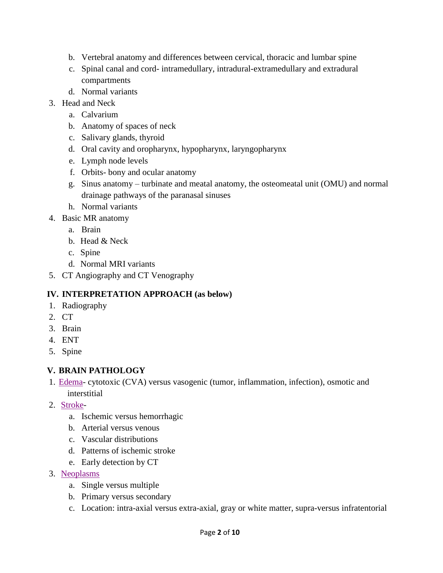- b. Vertebral anatomy and differences between cervical, thoracic and lumbar spine
- c. Spinal canal and cord- intramedullary, intradural-extramedullary and extradural compartments
- d. Normal variants
- 3. Head and Neck
	- a. Calvarium
	- b. Anatomy of spaces of neck
	- c. Salivary glands, thyroid
	- d. Oral cavity and oropharynx, hypopharynx, laryngopharynx
	- e. Lymph node levels
	- f. Orbits- bony and ocular anatomy
	- g. Sinus anatomy turbinate and meatal anatomy, the osteomeatal unit (OMU) and normal drainage pathways of the paranasal sinuses
	- h. Normal variants
- 4. Basic MR anatomy
	- a. Brain
	- b. Head & Neck
	- c. Spine
	- d. Normal MRI variants
- 5. CT Angiography and CT Venography

### **IV. INTERPRETATION APPROACH (as below)**

- 1. Radiography
- 2. CT
- 3. Brain
- 4. ENT
- 5. Spine

### **V. BRAIN PATHOLOGY**

- 1. [Edema-](https://www.dropbox.com/s/nq2og0ubnbp3mmr/Cerebral%20edema.pdf?dl=0) cytotoxic (CVA) versus vasogenic (tumor, inflammation, infection), osmotic and interstitial
- 2. [Stroke](https://www.dropbox.com/s/9dl3umzx78rcg57/Basic%20Stroke.pdf?dl=0)
	- a. Ischemic versus hemorrhagic
	- b. Arterial versus venous
	- c. Vascular distributions
	- d. Patterns of ischemic stroke
	- e. Early detection by CT
- 3. [Neoplasms](http://www.radiologyassistant.nl/en/p47f86aa182b3a/brain-tumor-systematic-approach.html)
	- a. Single versus multiple
	- b. Primary versus secondary
	- c. Location: intra-axial versus extra-axial, gray or white matter, supra-versus infratentorial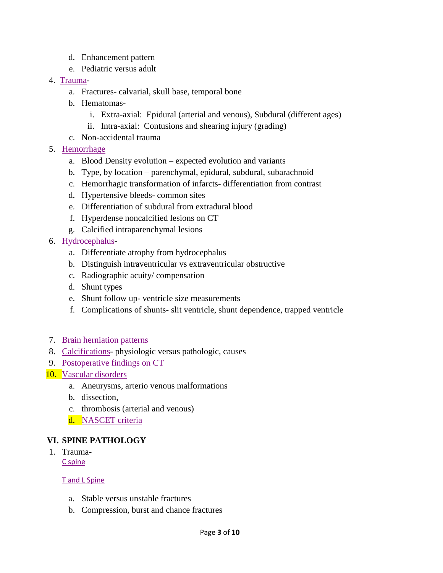- d. Enhancement pattern
- e. Pediatric versus adult
- 4. [Trauma](https://www.dropbox.com/s/rfrhqvvorz10glj/Traumatic%20Brain%20Injury%20SI%202018.pdf?dl=0)
	- a. Fractures- calvarial, skull base, temporal bone
	- b. Hematomas
		- i. Extra-axial: Epidural (arterial and venous), Subdural (different ages)
		- ii. Intra-axial: Contusions and shearing injury (grading)
	- c. Non-accidental trauma
- 5. [Hemorrhage](https://www.asnr.org/neurocurriculum-live/imaging-intracranial-hemorrhages/)
	- a. Blood Density evolution expected evolution and variants
	- b. Type, by location parenchymal, epidural, subdural, subarachnoid
	- c. Hemorrhagic transformation of infarcts- differentiation from contrast
	- d. Hypertensive bleeds- common sites
	- e. Differentiation of subdural from extradural blood
	- f. Hyperdense noncalcified lesions on CT
	- g. Calcified intraparenchymal lesions
- 6. [Hydrocephalus](https://www.dropbox.com/s/q06rpq1j2q6pgr8/hydrocephalus.pdf?dl=0)
	- a. Differentiate atrophy from hydrocephalus
	- b. Distinguish intraventricular vs extraventricular obstructive
	- c. Radiographic acuity/ compensation
	- d. Shunt types
	- e. Shunt follow up- ventricle size measurements
	- f. Complications of shunts- slit ventricle, shunt dependence, trapped ventricle
- 7. [Brain herniation patterns](https://radiopaedia.org/articles/cerebral-herniation)
- 8. [Calcifications-](https://www.dropbox.com/s/tm4jtvqjiet4scr/IC%20calc.pdf?dl=0) physiologic versus pathologic, causes
- 9. [Postoperative findings on CT](https://www.dropbox.com/s/1g78tche5s2zg5i/Post%20op%20cranium.pdf?dl=0)
- 10. Vascular [disorders](https://www.dropbox.com/s/waadfjzwl69kzoy/Vascular%20lesions%20and%20normal%20variants.pdf?dl=0)
	- a. Aneurysms, arterio venous malformations
	- b. dissection,
	- c. thrombosis (arterial and venous)
	- d. [NASCET criteria](https://radiopaedia.org/articles/carotid-artery-stenosis)

#### **VI. SPINE PATHOLOGY**

1. Trauma-[C spine](https://www.dropbox.com/s/bxpe8zqnzdwk44b/C%20Spine%20Trauma.pdf?dl=0)

[T and L Spine](https://www.dropbox.com/s/wa4ozpztuor4i79/T%20L%20Spine%20Trauma.pdf?dl=0)

- a. Stable versus unstable fractures
- b. Compression, burst and chance fractures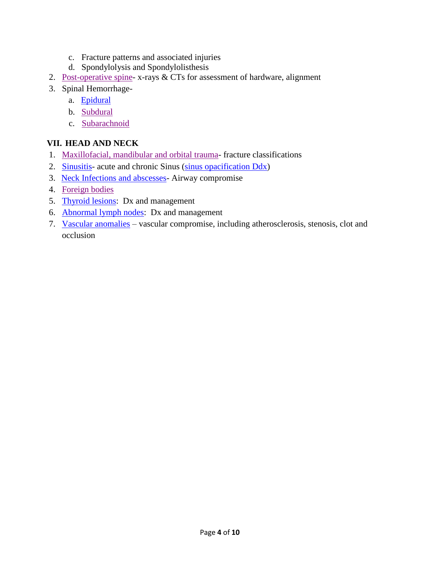- c. Fracture patterns and associated injuries
- d. Spondylolysis and Spondylolisthesis
- 2. [Post-operative spine-](https://www.dropbox.com/s/twxcbldser3ifzu/Post%20op%20spine.pdf?dl=0) x-rays & CTs for assessment of hardware, alignment
- 3. Spinal Hemorrhage
	- a. [Epidural](https://radiopaedia.org/articles/spinal-epidural-haematoma)
	- b. [Subdural](https://www.sciencedirect.com/science/article/pii/S2214751914000449)
	- c. [Subarachnoid](http://casereports.bmj.com/content/2016/bcr-2015-213556.full)

#### **VII. HEAD AND NECK**

- 1. [Maxillofacial, mandibular](https://www.dropbox.com/s/820keq6n16bitbi/Facial%20Fx.pdf?dl=0) and orbital trauma- fracture classifications
- 2. [Sinusitis-](https://www.dropbox.com/s/cbyb1gqu1hqu67b/Sinusitis.pdf?dl=0) acute and chronic Sinus [\(sinus opacification Ddx\)](https://www.dropbox.com/s/v5q3y02z1djc599/Sinus%20opacification.pdf?dl=0)
- 3. [Neck Infections and abscesses-](https://www.dropbox.com/s/11eb1kfynyihh1m/HN%20infection%2006.07.16.pptx?dl=0) Airway compromise
- 4. [Foreign bodies](https://www.dropbox.com/s/p8xo9uwmgcsgval/HN%20Foreign%20body%20Lateral%20Xray.pdf?dl=0)
- 5. [Thyroid lesions:](https://www.dropbox.com/s/rhq9wieideuw6el/Thyroid%20imaging.pdf?dl=0) Dx and management
- 6. [Abnormal lymph nodes:](https://www.dropbox.com/s/ct3v3zz0xk3ytsu/LAD%20kids%20and%20young%20adult.pdf?dl=0) Dx and management
- 7. [Vascular anomalies](https://www.dropbox.com/s/waadfjzwl69kzoy/Vascular%20lesions%20and%20normal%20variants.pdf?dl=0) vascular compromise, including atherosclerosis, stenosis, clot and occlusion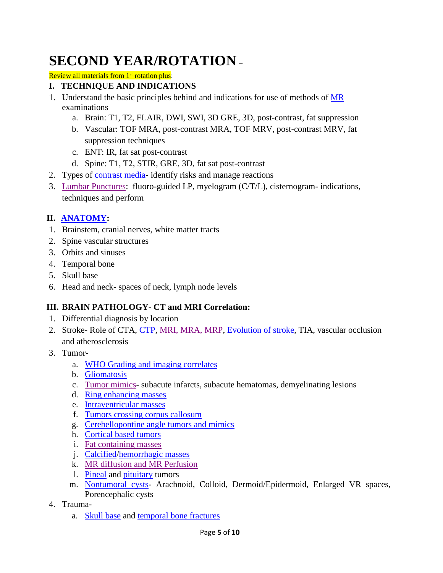# **SECOND YEAR/ROTATION** –

Review all materials from 1<sup>st</sup> rotation plus:

#### **I. TECHNIQUE AND INDICATIONS**

- 1. Understand the basic principles behind and indications for use of methods of [MR](https://www.dropbox.com/s/jxdx4ofv481cxj3/MRI%20physics%20basics.pdf?dl=0) examinations
	- a. Brain: T1, T2, FLAIR, DWI, SWI, 3D GRE, 3D, post-contrast, fat suppression
	- b. Vascular: TOF MRA, post-contrast MRA, TOF MRV, post-contrast MRV, fat suppression techniques
	- c. ENT: IR, fat sat post-contrast
	- d. Spine: T1, T2, STIR, GRE, 3D, fat sat post-contrast
- 2. Types of [contrast media-](https://www.dropbox.com/s/gy635jomrqe65rc/Contrast_Media.pdf?dl=0)identify risks and manage reactions
- 3. [Lumbar Punctures:](https://www.dropbox.com/s/wfcl6xarsbmm99p/LP.pdf?dl=0) fluoro-guided LP, myelogram (C/T/L), cisternogram- indications, techniques and perform

### **II. [ANATOMY:](http://www.headneckbrainspine.com/)**

- 1. Brainstem, cranial nerves, white matter tracts
- 2. Spine vascular structures
- 3. Orbits and sinuses
- 4. Temporal bone
- 5. Skull base
- 6. Head and neck- spaces of neck, lymph node levels

### **III. BRAIN PATHOLOGY- CT and MRI Correlation:**

- 1. Differential diagnosis by location
- 2. Stroke- Role of CTA, [CTP,](https://www.dropbox.com/s/0k744xs0jtafvx9/CTP.pdf?dl=0) [MRI, MRA, MRP, Evolution of stroke,](https://www.dropbox.com/s/cnur7pnbfo4l93s/MRI%20Stroke.pdf?dl=0) TIA, vascular occlusion and atherosclerosis
- 3. Tumor
	- a. [WHO Grading and imaging correlates](https://www.dropbox.com/s/wxh5xcznudgvbs6/2016%20Brain%20tumor%20update.pdf?dl=0)
	- b. [Gliomatosis](https://www.dropbox.com/s/wxh5xcznudgvbs6/2016%20Brain%20tumor%20update.pdf?dl=0)
	- c. [Tumor mimics-](https://www.dropbox.com/s/o9meh0in83mds47/tumor-mimics-mallik.pdf?dl=0) subacute infarcts, subacute hematomas, demyelinating lesions
	- d. [Ring enhancing masses](https://radiopaedia.org/articles/cerebral-ring-enhancing-lesions)
	- e. [Intraventricular masses](https://www.dropbox.com/s/ymsby2adlqqm4fm/IV%20mass.pdf?dl=0)
	- f. [Tumors crossing corpus callosum](https://www.dropbox.com/s/yd0peubi8ccvcm6/CC%20lesion.pdf?dl=0)
	- g. [Cerebellopontine angle tumors and mimics](https://www.dropbox.com/s/16ulanbug9dhi6v/CPA.pdf?dl=0)
	- h. [Cortical based tumors](https://radiopaedia.org/articles/cortically-based-brain-tumours-mnemonic)
	- i. [Fat containing masses](https://www.dropbox.com/s/m2yvzn6l4zmt6e4/Fat-Containing-Masses-of-Brain-FILEminimizer.pptx?dl=0)
	- j. [Calcified](https://www.dropbox.com/s/tm4jtvqjiet4scr/IC%20calc.pdf?dl=0)[/hemorrhagic masses](https://radiopaedia.org/articles/haemorrhagic-intracranial-tumours)
	- k. [MR diffusion and MR Perfusion](https://www.appliedradiology.com/articles/the-basics-of-diffusion-and-perfusion-imaging-in-brain-tumors)
	- l. [Pineal](https://www.dropbox.com/s/dve4xv49n2tm8bj/Pineal%20tumor.pdf?dl=0) and [pituitary](https://www.dropbox.com/s/9wkne5edj0w5zib/Sellar%20and%20parasellar.pdf?dl=0) tumors
	- m. [Nontumoral cysts-](https://www.dropbox.com/s/twoqlhycl0jh5y3/IC%20cyst.pdf?dl=0) Arachnoid, Colloid, Dermoid/Epidermoid, Enlarged VR spaces, Porencephalic cysts
- 4. Trauma
	- a. [Skull base](https://www.dropbox.com/s/cr830c092bvab09/SB%20Fx.pdf?dl=0) and [temporal bone fractures](https://www.dropbox.com/s/ocgy9opkd9k56j4/T%20bone%20Fx.pdf?dl=0)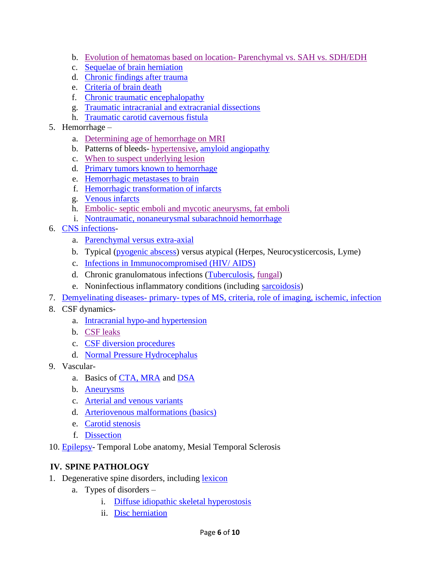- b. [Evolution of hematomas](https://www.dropbox.com/s/8z6zc4q5ekdlc69/IC%20Hg.pdf?dl=0) based on location- Parenchymal vs. SAH vs. SDH/EDH
- c. [Sequelae of brain herniation](https://www.youtube.com/watch?v=nFwJic2mYCU)
- d. [Chronic findings after trauma](https://www.dropbox.com/s/g5eh5dk6crxacru/Chronic%20traumatic%20enceph.pdf?dl=0)
- e. [Criteria of brain death](https://www.dropbox.com/s/xcuq4orzfzgeuwg/Brain%20death.pdf?dl=0)
- f. [Chronic traumatic encephalopathy](https://www.dropbox.com/s/g5eh5dk6crxacru/Chronic%20traumatic%20enceph.pdf?dl=0)
- g. [Traumatic intracranial and extracranial dissections](https://www.dropbox.com/s/00vq6o757hoq6x3/Craniocervical%20dissection.pdf?dl=0)
- h. [Traumatic carotid cavernous fistula](https://www.dropbox.com/s/60p91ao3w4iy081/CCF.pdf?dl=0)
- 5. Hemorrhage
	- a. [Determining age of hemorrhage on MRI](https://www.dropbox.com/s/8z6zc4q5ekdlc69/IC%20Hg.pdf?dl=0)
	- b. Patterns of bleeds- [hypertensive,](https://www.dropbox.com/s/8z6zc4q5ekdlc69/IC%20Hg.pdf?dl=0) [amyloid angiopathy](https://www.dropbox.com/s/egd6ny5shnvspv0/Cerebral%20amyloid.pdf?dl=0)
	- c. [When to suspect underlying lesion](https://www.dropbox.com/s/8z6zc4q5ekdlc69/IC%20Hg.pdf?dl=0)
	- d. [Primary tumors known to hemorrhage](https://radiopaedia.org/articles/haemorrhagic-intracranial-tumours)
	- e. [Hemorrhagic metastases to brain](https://radiopaedia.org/articles/haemorrhagic-intracranial-metastases)
	- f. [Hemorrhagic transformation of infarcts](https://radiopaedia.org/articles/haemorrhagic-transformation-of-ischaemic-infarct-1)
	- g. [Venous infarcts](https://www.dropbox.com/s/ctsw0xi2yffcnu0/Venous%20infarction.pdf?dl=0)
	- h. Embolic- [septic emboli and mycotic aneurysms, fat emboli](https://www.dropbox.com/s/5rw556jgg67rt89/Unusual%20cerebral%20emboli.pdf?dl=0)
	- i. [Nontraumatic, nonaneurysmal subarachnoid hemorrhage](https://www.dropbox.com/s/mihyj4qsbjoit1v/Nontraumatic%2C%20nonaneurysmal%20subarachnoid%20hemorrhage.pdf?dl=0)
- 6. [CNS infections](https://www.dropbox.com/s/j9jv0v04kfzhzt7/CNS%20Infection.pdf?dl=0)
	- a. [Parenchymal versus extra-axial](https://www.dropbox.com/s/j9jv0v04kfzhzt7/CNS%20Infection.pdf?dl=0)
	- b. Typical [\(pyogenic abscess\)](https://www.dropbox.com/s/j9jv0v04kfzhzt7/CNS%20Infection.pdf?dl=0) versus atypical (Herpes, Neurocysticercosis, Lyme)
	- c. [Infections in Immunocompromised \(HIV/ AIDS\)](https://www.dropbox.com/s/caqsbohjzs6e2sb/CNS%20infection%20immunocomprosmised.pdf?dl=0)
	- d. Chronic granulomatous infections [\(Tuberculosis,](https://www.dropbox.com/s/3vvfcj0icuhnik1/CNS%20TB.pdf?dl=0) [fungal\)](https://www.dropbox.com/s/y3ll7h9kj3wkfi1/Fungal%20brain%20infection.pdf?dl=0)
	- e. Noninfectious inflammatory conditions (including [sarcoidosis\)](https://www.ncbi.nlm.nih.gov/pmc/articles/PMC3173834/)
- 7. Demyelinating diseases- primary- [types of MS, criteria, role of imaging,](https://www.dropbox.com/s/lquic9ngrbkv7vh/MS%20brain%20and%20spinal%20cord.pdf?dl=0) ischemic, infection
- 8. CSF dynamics
	- a. [Intracranial hypo-and hypertension](https://www.dropbox.com/s/k30oyc3tm601dcw/intracranial%20hyper%20and%20hypotension.pdf?dl=0)
	- b. [CSF leaks](https://www.ncbi.nlm.nih.gov/pmc/articles/PMC5761172/)
	- c. [CSF diversion procedures](https://www.dropbox.com/s/iaw5et78s116r6p/CSF%20shunts.pdf?dl=0)
	- d. [Normal Pressure Hydrocephalus](https://www.dropbox.com/s/0gqcbk8vtj1ov66/Normal%20pressure%20hydrocephalus.pdf?dl=0)
- 9. Vascular-
	- a. Basics of [CTA, MRA](http://www.headneckbrainspine.com/) and [DSA](http://neuroangio.org/)
	- b. [Aneurysms](https://www.dropbox.com/s/j7g23oqksyn6xaj/IC%20aneurysm.pdf?dl=0)
	- c. [Arterial and venous variants](https://www.dropbox.com/s/waadfjzwl69kzoy/Vascular%20lesions%20and%20normal%20variants.pdf?dl=0)
	- d. [Arteriovenous malformations \(basics\)](https://www.dropbox.com/s/n7u6svv8uqqvum7/AVM%20Brain.pdf?dl=0)
	- e. [Carotid stenosis](https://www.dropbox.com/s/wz8hvqab56ayh8f/Carotid%20Imaging.pdf?dl=0)
	- f. [Dissection](https://www.dropbox.com/s/00vq6o757hoq6x3/Craniocervical%20dissection.pdf?dl=0)
- 10. [Epilepsy-](https://www.dropbox.com/s/jokd75x2kwg8us8/Epilepsy.pdf?dl=0) Temporal Lobe anatomy, Mesial Temporal Sclerosis

### **IV. SPINE PATHOLOGY**

- 1. Degenerative spine disorders, including [lexicon](https://www.dropbox.com/s/ki5po0ag96b88pk/Nomenclature.pdf?dl=0)
	- a. Types of disorders
		- i. [Diffuse idiopathic skeletal hyperostosis](https://www.dropbox.com/s/ax53r1vm8egcyys/DISH.pdf?dl=0)
		- ii. [Disc herniation](https://www.dropbox.com/s/ki5po0ag96b88pk/Nomenclature.pdf?dl=0)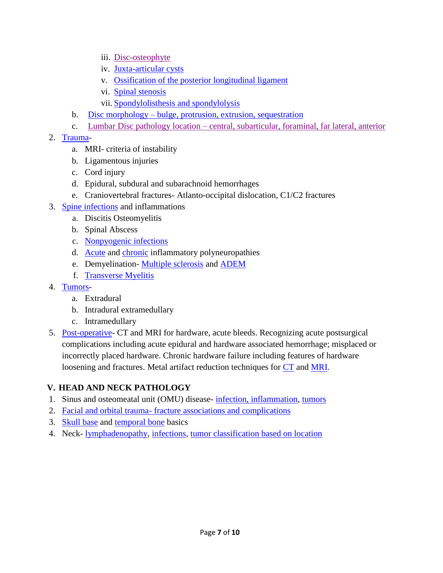- iii. [Disc-osteophyte](https://www.dropbox.com/s/f7udymw8jqquc87/Disc%20osteophyte.pdf?dl=0)
- iv. [Juxta-articular cysts](https://radiopaedia.org/articles/spinal-synovial-cyst-1)
- v. [Ossification of the posterior](https://radiopaedia.org/articles/ossification-of-the-posterior-longitudinal-ligament) longitudinal ligament
- vi. [Spinal stenosis](https://www.dropbox.com/s/ki5po0ag96b88pk/Nomenclature.pdf?dl=0)
- vii. Spondylolisthesis [and spondylolysis](https://www.dropbox.com/s/2kic13f4wxysn8p/Spondylolisthiasis%20lysis.pdf?dl=0)
- b. Disc morphology [bulge, protrusion, extrusion, sequestration](https://www.dropbox.com/s/ki5po0ag96b88pk/Nomenclature.pdf?dl=0)
- c. Lumbar Disc pathology location [central, subarticular, foraminal, far lateral, anterior](https://www.dropbox.com/s/ki5po0ag96b88pk/Nomenclature.pdf?dl=0)

#### 2. [Trauma-](https://www.dropbox.com/s/ilvxn3ol7igl1x3/MRI%20acute%20spinal%20Fx.pdf?dl=0)

- a. MRI- criteria of instability
- b. Ligamentous injuries
- c. Cord injury
- d. Epidural, subdural and subarachnoid hemorrhages
- e. Craniovertebral fractures- Atlanto-occipital dislocation, C1/C2 fractures
- 3. [Spine infections](https://www.dropbox.com/s/fjpx322fs6ioz5y/Spine%20infection%201.pdf?dl=0) and inflammations
	- a. Discitis Osteomyelitis
	- b. Spinal Abscess
	- c. [Nonpyogenic infections](https://www.dropbox.com/s/fjpx322fs6ioz5y/Spine%20infection%201.pdf?dl=0)
	- d. [Acute](https://radiopaedia.org/articles/guillain-barre-syndrome-2) and [chronic](https://radiopaedia.org/articles/chronic-inflammatory-demyelinating-polyneuropathy) inflammatory polyneuropathies
	- e. Demyelination- [Multiple sclerosis](https://www.dropbox.com/s/lquic9ngrbkv7vh/MS%20brain%20and%20spinal%20cord.pdf?dl=0) and [ADEM](https://www.dropbox.com/s/6x0tohwkiiuav9r/ADEM.pdf?dl=0)
	- f. [Transverse Myelitis](https://www.dropbox.com/s/d1f7siyldig2soo/Transverse%20myelitis.pdf?dl=0)
- 4. [Tumors](https://www.dropbox.com/s/ag9tfe6qfmurjbx/Spinal%20tumor.pdf?dl=0)
	- a. Extradural
	- b. Intradural extramedullary
	- c. Intramedullary
- 5. [Post-operative-](https://www.dropbox.com/s/twxcbldser3ifzu/Post%20op%20spine.pdf?dl=0) CT and MRI for hardware, acute bleeds. Recognizing acute postsurgical complications including acute epidural and hardware associated hemorrhage; misplaced or incorrectly placed hardware. Chronic hardware failure including features of hardware loosening and fractures. Metal artifact reduction techniques for [CT](hhttps://www.dropbox.com/s/bvld8u1v3vk2bfv/CT%20Metalic%20reduction.pdf?dl=0) and [MRI.](http://mriquestions.com/metal-suppression.html)

### **V. HEAD AND NECK PATHOLOGY**

- 1. Sinus and osteomeatal unit (OMU) disease- [infection, inflammation,](https://www.dropbox.com/s/cbyb1gqu1hqu67b/Sinusitis.pdf?dl=0) [tumors](https://www.dropbox.com/s/znjy1elx1h8wc0f/Imaging%20of%20sinonsal%20Neoplasms%20Las%20Vegas.pptx?dl=0)
- 2. Facial and orbital trauma- [fracture associations and complications](https://www.dropbox.com/s/820keq6n16bitbi/Facial%20Fx.pdf?dl=0)
- 3. [Skull base](https://www.dropbox.com/s/f4vzmmtm2tjnypx/Central%20skull%20base.pdf?dl=0) and [temporal bone](https://www.dropbox.com/s/rd6ewmra1ectbwk/Temporal%20bone%20Anatomy%2C%20infection%2C%20trauma.pdf?dl=0) basics
- 4. Neck- [lymphadenopathy,](https://www.dropbox.com/s/ct3v3zz0xk3ytsu/LAD%20kids%20and%20young%20adult.pdf?dl=0) [infections,](https://www.dropbox.com/s/xhetof34grqtj7t/HN%20infection%20ER%20lecture%2006.02.15.pptx?dl=0) tumor [classification based on location](https://www.dropbox.com/s/ffc0s9katwm100s/HN%20cancer%20over%20view.pdf?dl=0)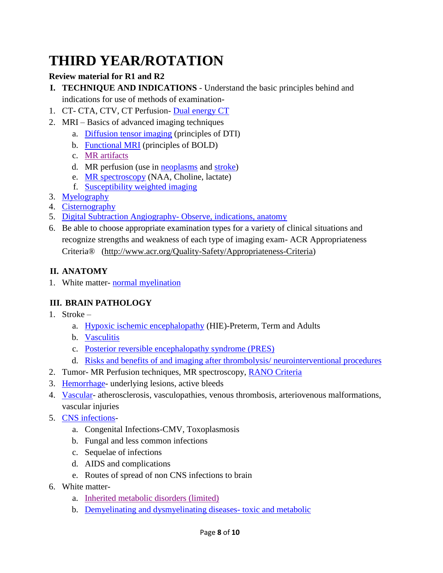# **THIRD YEAR/ROTATION**

### **Review material for R1 and R2**

- **I. TECHNIQUE AND INDICATIONS** Understand the basic principles behind and indications for use of methods of examination-
- 1. CT- CTA, CTV, CT Perfusion- [Dual energy CT](https://www.dropbox.com/s/31k1x1albci91kz/dual%20energy%20ct.pdf?dl=0)
- 2. MRI Basics of advanced imaging techniques
	- a. [Diffusion tensor imaging](https://www.dropbox.com/s/p7qkh2t45p00l2f/DTI.pdf?dl=0) (principles of DTI)
	- b. [Functional MRI](https://www.dropbox.com/s/5myp1rhvfagt45d/fMRI%20for%20Phd%202018.pdf?dl=0) (principles of BOLD)
	- c. [MR artifacts](https://www.dropbox.com/s/f2lil475is3c71o/Mri%20artifacts%20radiographis.pdf?dl=0)
	- d. MR perfusion (use in [neoplasms](https://www.dropbox.com/s/xf5dzu5ihqq1t5g/MR%20perfusion%20tumor.pdf?dl=0) and [stroke\)](https://www.dropbox.com/s/9ivtvxkj7mm31r0/MR%20perfusion%20stroke.pdf?dl=0)
	- e. [MR spectroscopy](https://www.dropbox.com/s/qjy23smf3u017tw/MR%20spectroscopy.pdf?dl=0) (NAA, Choline, lactate)
	- f. [Susceptibility weighted imaging](https://www.dropbox.com/s/32xlgeysla94oth/SWI.pdf?dl=0)
- 3. [Myelography](https://www.dropbox.com/s/wfcl6xarsbmm99p/LP.pdf?dl=0)
- 4. [Cisternography](https://www.dropbox.com/s/678yz7ovwnh0vi4/CSF%20leak%20%20GSO%20KLB%2012.8.13final.pdf?dl=0)
- 5. [Digital Subtraction Angiography-](http://www.neuroangio.org/) Observe, indications, anatomy
- 6. Be able to choose appropriate examination types for a variety of clinical situations and recognize strengths and weakness of each type of imaging exam- ACR Appropriateness Criteria® [\(http://www.acr.org/Quality-Safety/Appropriateness-Criteria\)](http://www.acr.org/Quality-Safety/Appropriateness-Criteria)

### **II. ANATOMY**

1. White matter- [normal myelination](https://www.myelinationmriatlas.com/)

## **III. BRAIN PATHOLOGY**

- 1. Stroke
	- a. [Hypoxic ischemic encephalopathy](https://www.dropbox.com/s/jjtl86v45uml79o/HIE.pdf?dl=0) (HIE)-Preterm, Term and Adults
	- b. [Vasculitis](https://www.dropbox.com/s/nqmxwj8xss5htzo/CNS%20vasculitis.pdf?dl=0)
	- c. [Posterior reversible encephalopathy syndrome \(PRES\)](https://www.dropbox.com/s/5vsj688avyil7bq/PRES.pdf?dl=0)
	- d. [Risks and benefits of and imaging after thrombolysis/ neurointerventional procedures](http://www.neuroangio.org/)
- 2. Tumor- MR Perfusion techniques, MR spectroscopy, [RANO Criteria](https://radiopaedia.org/articles/rano-criteria-for-glioblastoma)
- 3. [Hemorrhage-](https://www.dropbox.com/s/8z6zc4q5ekdlc69/IC%20Hg.pdf?dl=0) underlying lesions, active bleeds
- 4. [Vascular-](https://www.dropbox.com/s/waadfjzwl69kzoy/Vascular%20lesions%20and%20normal%20variants.pdf?dl=0) atherosclerosis, vasculopathies, venous thrombosis, arteriovenous malformations, vascular injuries
- 5. [CNS infections](https://www.dropbox.com/s/j9jv0v04kfzhzt7/CNS%20Infection.pdf?dl=0)
	- a. Congenital Infections-CMV, Toxoplasmosis
	- b. Fungal and less common infections
	- c. Sequelae of infections
	- d. AIDS and complications
	- e. Routes of spread of non CNS infections to brain
- 6. White matter
	- a. [Inherited metabolic disorders \(limited\)](https://www.dropbox.com/s/csbcaopt1j5237f/Inborn%20error.pdf?dl=0)
	- b. [Demyelinating and dysmyelinating diseases-](https://www.dropbox.com/s/bqbt3eakqgi2afg/Metabolic.pdf?dl=0) toxic and metabolic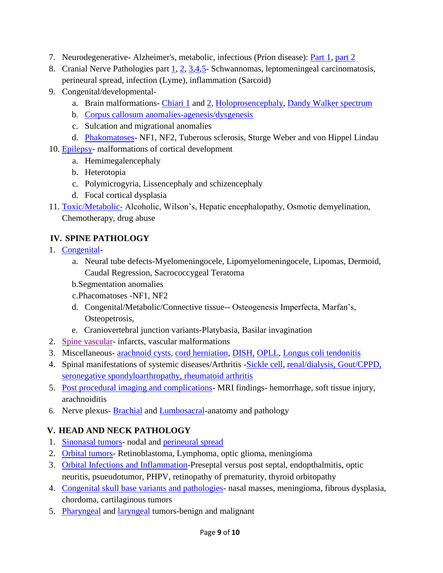- 7. Neurodegenerative- Alzheimer's, metabolic, infectious (Prion disease): [Part 1,](https://www.dropbox.com/s/eyhrfcftklra67f/Neurodegenerative%20disease%20part%201.pdf?dl=0) [part 2](https://www.dropbox.com/s/j5vbmggzkze1jco/Neurodegenerative%20disease%20part%202.pdf?dl=0)
- 8. Cranial Nerve Pathologies part [1,](https://www.dropbox.com/s/4dqppzp0jkqlxqe/CN%20II.pdf?dl=0) [2,](https://www.dropbox.com/s/ve3hut5sn9o09un/Ocular%20motor.pdf?dl=0) [3,](https://www.dropbox.com/s/z2wiyjs03bmlaa4/CN%20V.pdf?dl=0) [4,](https://www.dropbox.com/s/7zz8o83pxjy3hch/CN%20VII.pdf?dl=0) 5 Schwannomas, leptomeningeal carcinomatosis, perineural spread, infection (Lyme), inflammation (Sarcoid)
- 9. Congenital/developmental-
	- a. Brain malformations- [Chiari 1](https://radiopaedia.org/articles/chiari-i-malformation) and [2,](https://radiopaedia.org/articles/chiari-ii-malformation) [Holoprosencephaly,](https://radiopaedia.org/articles/holoprosencephaly) [Dandy Walker spectrum](https://radiopaedia.org/articles/dandy-walker-continuum-3)
	- b. [Corpus callosum anomalies-agenesis/dysgenesis](https://radiopaedia.org/articles/dysgenesis-of-the-corpus-callosum)
	- c. Sulcation and migrational anomalies
	- d. [Phakomatoses-](https://www.dropbox.com/s/us9ocpak0kx4yt3/Phagomatosis.pdf?dl=0) NF1, NF2, Tuberous sclerosis, Sturge Weber and von Hippel Lindau
- 10. [Epilepsy-](https://www.dropbox.com/s/jokd75x2kwg8us8/Epilepsy.pdf?dl=0) malformations of cortical development
	- a. Hemimegalencephaly
	- b. Heterotopia
	- c. Polymicrogyria, Lissencephaly and schizencephaly
	- d. Focal cortical dysplasia
- 11. [Toxic/Metabolic-](https://www.dropbox.com/s/pj2j9xzezphnk8r/Metabolic%20CNS.pdf?dl=0) Alcoholic, Wilson's, Hepatic encephalopathy, Osmotic demyelination, Chemotherapy, drug abuse

## **IV. SPINE PATHOLOGY**

- 1. [Congenital](https://www.dropbox.com/s/xrtai5v2bhkxss7/Spine%20anomaly.pdf?dl=0)
	- a. Neural tube defects-Myelomeningocele, Lipomyelomeningocele, Lipomas, Dermoid, Caudal Regression, Sacrococcygeal Teratoma
	- b.Segmentation anomalies
	- c.Phacomatoses -NF1, NF2
	- d. Congenital/Metabolic/Connective tissue-- Osteogenesis Imperfecta, Marfan's, Osteopetrosis,
	- e. Craniovertebral junction variants-Platybasia, Basilar invagination
- 2. [Spine vascular-](https://www.dropbox.com/s/r80qa3j6fv4olzb/Spinal%20vascular%20disease.pdf?dl=0) infarcts, vascular malformations
- 3. Miscellaneous- [arachnoid cysts,](https://www.dropbox.com/s/6yvqfrmlwp57rq8/Spine%20arachnoid%20cyst.pdf?dl=0) [cord herniation,](https://www.dropbox.com/s/a5d386kx3jgumfm/Spinal%20cordd%20herniation.pdf?dl=0) [DISH,](https://www.dropbox.com/s/ax53r1vm8egcyys/DISH.pdf?dl=0) [OPLL,](https://www.dropbox.com/s/ax53r1vm8egcyys/DISH.pdf?dl=0) Longus coli [tendonitis](https://www.dropbox.com/s/3ix05v06wkzbsl3/Longus%20coli%20tendinitis.pdf?dl=0)
- 4. Spinal manifestations of systemic diseases/Arthritis [-Sickle cell,](https://www.dropbox.com/s/xg7kwq7iieuezyu/SS.pdf?dl=0) [renal/dialysis, Gout/CPPD,](https://www.dropbox.com/s/p7incjd1qdd7rwm/Spine%20arthritis.pdf?dl=0) [seronegative spondyloarthropathy, rheumatoid arthritis](https://www.dropbox.com/s/p7incjd1qdd7rwm/Spine%20arthritis.pdf?dl=0)
- 5. Post procedural [imaging and complications-](https://www.dropbox.com/s/0lmyslms20bz7cl/Post%20op%20spine%20complication.pdf?dl=0) MRI findings- hemorrhage, soft tissue injury, arachnoiditis
- 6. Nerve plexus- **[Brachial](https://www.dropbox.com/s/rj98fzdbtygunvw/Brachial%20plexus.pdf?dl=0)** and **Lumbosacral**-anatomy and pathology

# **V. HEAD AND NECK PATHOLOGY**

- 1. [Sinonasal](https://www.dropbox.com/s/dog6uwogh7oy3i0/Imaging%20of%20sinonsal%20Neoplasms%20Las%20Vegas.pptx?dl=0) tumors- nodal and [perineural spread](https://www.dropbox.com/s/pneqxhwe3omyhaz/Perineural%20Spread%2005.10.16.pptx?dl=0)
- 2. [Orbital tumors-](https://www.dropbox.com/s/iaurh05yec9gkqq/Orbital%20tumor.pdf?dl=0) Retinoblastoma, Lymphoma, optic glioma, meningioma
- 3. [Orbital Infections and Inflammation-](https://www.dropbox.com/s/uhzm71fwqyzgu7b/Orbital%20infection%20inflammation.pdf?dl=0)Preseptal versus post septal, endopthalmitis, optic neuritis, psueudotumor, PHPV, retinopathy of prematurity, thyroid orbitopathy
- 4. [Congenital skull base variants and pathologies-](https://www.dropbox.com/s/xj1jvy0eh71knyq/SB%20encephalocele.pdf?dl=0) nasal masses, meningioma, fibrous dysplasia, chordoma, cartilaginous tumors
- 5. [Pharyngeal](https://www.dropbox.com/s/mzb4nzdgmm5vki9/Oral%20cavity%20OP%20Cancer%20staging%2005.17.2018.pptx?dl=0) and [laryngeal](https://www.dropbox.com/s/85amy7dcxmotbsw/Laryngeal%20CA.pdf?dl=0) tumors-benign and malignant